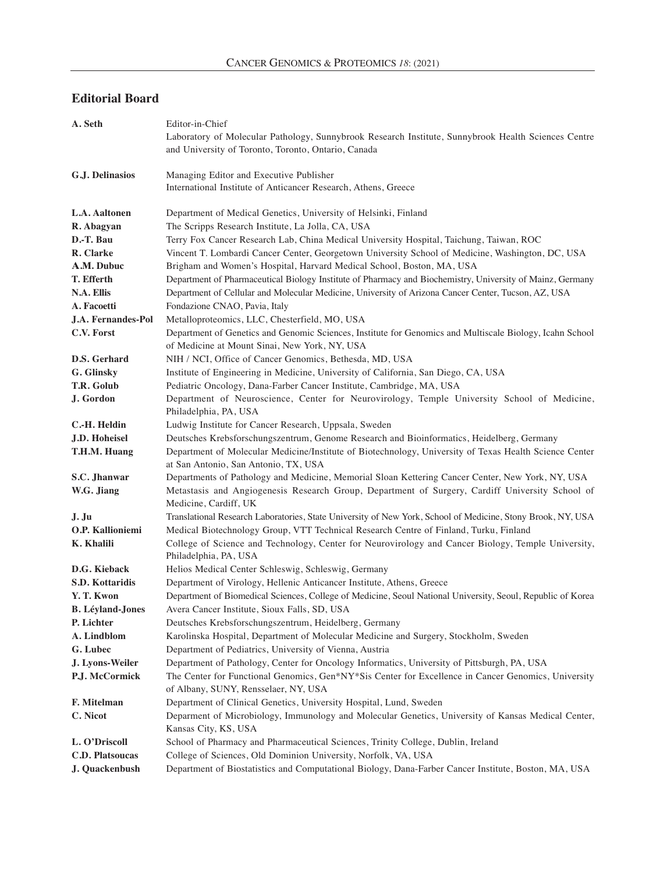## **Editorial Board**

| A. Seth                 | Editor-in-Chief                                                                                                                                                     |
|-------------------------|---------------------------------------------------------------------------------------------------------------------------------------------------------------------|
|                         | Laboratory of Molecular Pathology, Sunnybrook Research Institute, Sunnybrook Health Sciences Centre                                                                 |
|                         | and University of Toronto, Toronto, Ontario, Canada                                                                                                                 |
| G.J. Delinasios         | Managing Editor and Executive Publisher                                                                                                                             |
|                         | International Institute of Anticancer Research, Athens, Greece                                                                                                      |
|                         |                                                                                                                                                                     |
| L.A. Aaltonen           | Department of Medical Genetics, University of Helsinki, Finland                                                                                                     |
| R. Abagyan              | The Scripps Research Institute, La Jolla, CA, USA                                                                                                                   |
| D.-T. Bau               | Terry Fox Cancer Research Lab, China Medical University Hospital, Taichung, Taiwan, ROC                                                                             |
| R. Clarke               | Vincent T. Lombardi Cancer Center, Georgetown University School of Medicine, Washington, DC, USA                                                                    |
| A.M. Dubuc              | Brigham and Women's Hospital, Harvard Medical School, Boston, MA, USA                                                                                               |
| T. Efferth              | Department of Pharmaceutical Biology Institute of Pharmacy and Biochemistry, University of Mainz, Germany                                                           |
| N.A. Ellis              | Department of Cellular and Molecular Medicine, University of Arizona Cancer Center, Tucson, AZ, USA                                                                 |
| A. Facoetti             | Fondazione CNAO, Pavia, Italy                                                                                                                                       |
| J.A. Fernandes-Pol      | Metalloproteomics, LLC, Chesterfield, MO, USA                                                                                                                       |
| C.V. Forst              | Department of Genetics and Genomic Sciences, Institute for Genomics and Multiscale Biology, Icahn School                                                            |
| D.S. Gerhard            | of Medicine at Mount Sinai, New York, NY, USA                                                                                                                       |
|                         | NIH / NCI, Office of Cancer Genomics, Bethesda, MD, USA                                                                                                             |
| G. Glinsky              | Institute of Engineering in Medicine, University of California, San Diego, CA, USA                                                                                  |
| T.R. Golub<br>J. Gordon | Pediatric Oncology, Dana-Farber Cancer Institute, Cambridge, MA, USA<br>Department of Neuroscience, Center for Neurovirology, Temple University School of Medicine, |
|                         | Philadelphia, PA, USA                                                                                                                                               |
| C.-H. Heldin            | Ludwig Institute for Cancer Research, Uppsala, Sweden                                                                                                               |
| J.D. Hoheisel           | Deutsches Krebsforschungszentrum, Genome Research and Bioinformatics, Heidelberg, Germany                                                                           |
| T.H.M. Huang            | Department of Molecular Medicine/Institute of Biotechnology, University of Texas Health Science Center<br>at San Antonio, San Antonio, TX, USA                      |
| S.C. Jhanwar            | Departments of Pathology and Medicine, Memorial Sloan Kettering Cancer Center, New York, NY, USA                                                                    |
| W.G. Jiang              | Metastasis and Angiogenesis Research Group, Department of Surgery, Cardiff University School of                                                                     |
|                         | Medicine, Cardiff, UK                                                                                                                                               |
| J. Ju                   | Translational Research Laboratories, State University of New York, School of Medicine, Stony Brook, NY, USA                                                         |
| O.P. Kallioniemi        | Medical Biotechnology Group, VTT Technical Research Centre of Finland, Turku, Finland                                                                               |
| K. Khalili              | College of Science and Technology, Center for Neurovirology and Cancer Biology, Temple University,<br>Philadelphia, PA, USA                                         |
| D.G. Kieback            | Helios Medical Center Schleswig, Schleswig, Germany                                                                                                                 |
| <b>S.D. Kottaridis</b>  | Department of Virology, Hellenic Anticancer Institute, Athens, Greece                                                                                               |
| Y. T. Kwon              | Department of Biomedical Sciences, College of Medicine, Seoul National University, Seoul, Republic of Korea                                                         |
| <b>B.</b> Léyland-Jones | Avera Cancer Institute, Sioux Falls, SD, USA                                                                                                                        |
| P. Lichter              | Deutsches Krebsforschungszentrum, Heidelberg, Germany                                                                                                               |
| A. Lindblom             | Karolinska Hospital, Department of Molecular Medicine and Surgery, Stockholm, Sweden                                                                                |
| G. Lubec                | Department of Pediatrics, University of Vienna, Austria                                                                                                             |
|                         |                                                                                                                                                                     |
| J. Lyons-Weiler         | Department of Pathology, Center for Oncology Informatics, University of Pittsburgh, PA, USA                                                                         |
| P.J. McCormick          | The Center for Functional Genomics, Gen*NY*Sis Center for Excellence in Cancer Genomics, University<br>of Albany, SUNY, Rensselaer, NY, USA                         |
| F. Mitelman             | Department of Clinical Genetics, University Hospital, Lund, Sweden                                                                                                  |
| C. Nicot                | Deparment of Microbiology, Immunology and Molecular Genetics, University of Kansas Medical Center,                                                                  |
|                         | Kansas City, KS, USA                                                                                                                                                |
| L. O'Driscoll           | School of Pharmacy and Pharmaceutical Sciences, Trinity College, Dublin, Ireland                                                                                    |
| C.D. Platsoucas         | College of Sciences, Old Dominion University, Norfolk, VA, USA                                                                                                      |
| J. Quackenbush          | Department of Biostatistics and Computational Biology, Dana-Farber Cancer Institute, Boston, MA, USA                                                                |